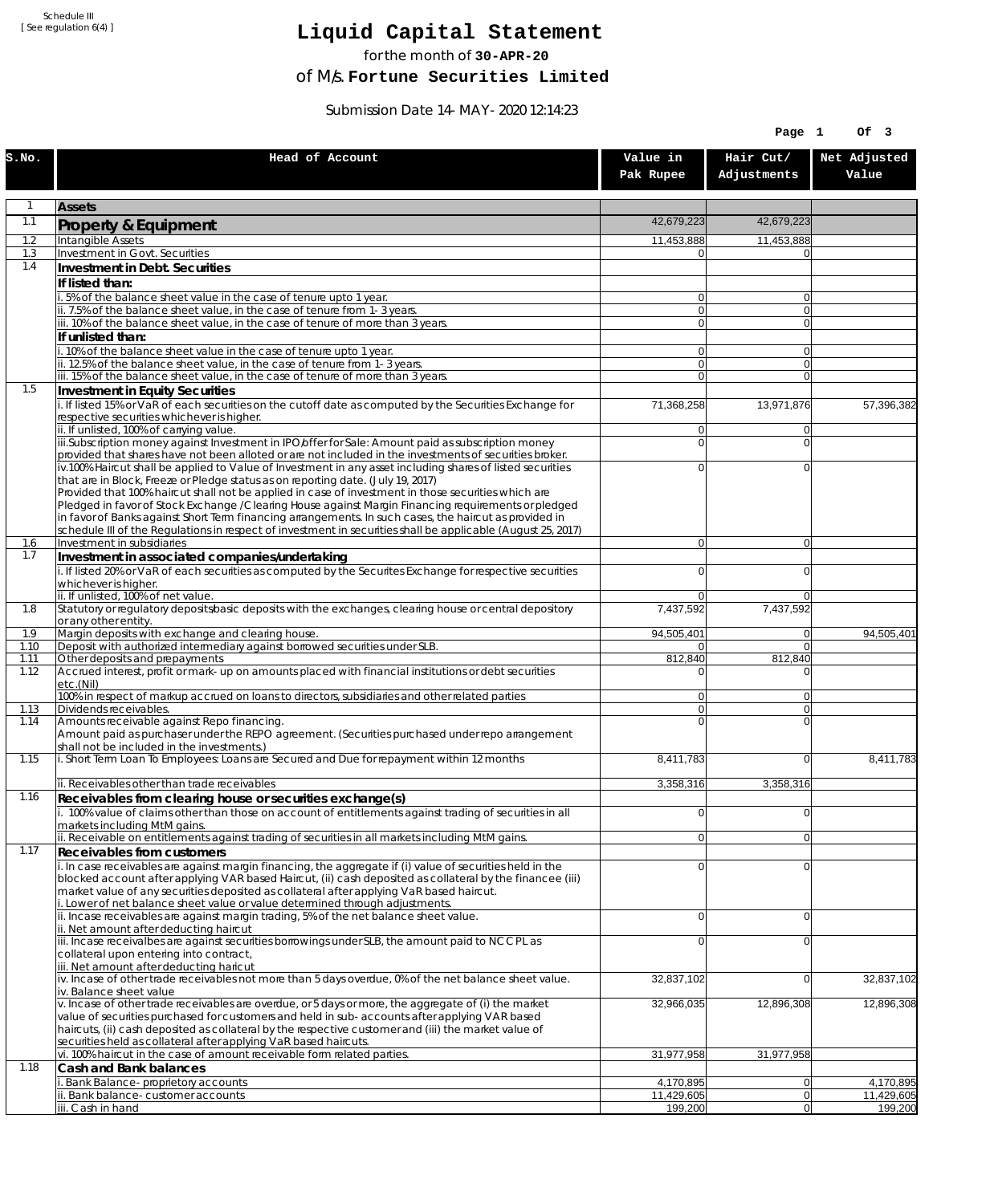Schedule III [ See regulation 6(4) ]

## **Liquid Capital Statement**

for the month of **30-APR-20**

of M/s. **Fortune Securities Limited**

Submission Date 14-MAY-2020 12:14:23

|              |                                                                                                                                                                                                                        |                                  | Page 1                           | Of 3                    |
|--------------|------------------------------------------------------------------------------------------------------------------------------------------------------------------------------------------------------------------------|----------------------------------|----------------------------------|-------------------------|
| S.NO.        | Head of Account                                                                                                                                                                                                        | Value in<br>Pak Rupee            | Hair Cut/<br>Adjustments         | Net Adjusted<br>Value   |
| $\mathbf{1}$ | <b>Assets</b>                                                                                                                                                                                                          |                                  |                                  |                         |
| 1.1          | Property & Equipment                                                                                                                                                                                                   | 42,679,223                       | 42,679,223                       |                         |
| 1.2          | Intangible Assets                                                                                                                                                                                                      | 11,453,888                       | 11,453,888                       |                         |
| 1.3<br>1.4   | Investment in Govt. Securities<br>Investment in Debt. Securities                                                                                                                                                       | 0                                |                                  |                         |
|              | If listed than:                                                                                                                                                                                                        |                                  |                                  |                         |
|              | i. 5% of the balance sheet value in the case of tenure upto 1 year.                                                                                                                                                    | $\overline{0}$                   | $\overline{0}$                   |                         |
|              | ii. 7.5% of the balance sheet value, in the case of tenure from 1-3 years.                                                                                                                                             | $\overline{0}$<br>$\overline{0}$ | $\overline{0}$<br>$\overline{0}$ |                         |
|              | iii. 10% of the balance sheet value, in the case of tenure of more than 3 years.<br>If unlisted than:                                                                                                                  |                                  |                                  |                         |
|              | i. 10% of the balance sheet value in the case of tenure upto 1 year.                                                                                                                                                   | 0                                | $\overline{0}$                   |                         |
|              | ii. 12.5% of the balance sheet value, in the case of tenure from 1-3 years.                                                                                                                                            | $\overline{0}$                   | $\overline{0}$                   |                         |
| 1.5          | iii. 15% of the balance sheet value, in the case of tenure of more than 3 years.<br>Investment in Equity Securities                                                                                                    | $\overline{0}$                   | $\Omega$                         |                         |
|              | i. If listed 15% or VaR of each securities on the cutoff date as computed by the Securities Exchange for                                                                                                               | 71,368,258                       | 13,971,876                       | 57,396,382              |
|              | respective securities whichever is higher.                                                                                                                                                                             |                                  |                                  |                         |
|              | ii. If unlisted, 100% of carrying value.<br>iii.Subscription money against Investment in IPO/offer for Sale: Amount paid as subscription money                                                                         | 0<br>0                           | $\Omega$<br>$\Omega$             |                         |
|              | provided that shares have not been alloted or are not included in the investments of securities broker.                                                                                                                |                                  |                                  |                         |
|              | iv.100% Haircut shall be applied to Value of Investment in any asset including shares of listed securities                                                                                                             | 0                                | $\Omega$                         |                         |
|              | that are in Block, Freeze or Pledge status as on reporting date. (July 19, 2017)<br>Provided that 100% haircut shall not be applied in case of investment in those securities which are                                |                                  |                                  |                         |
|              | Pledged in favor of Stock Exchange / Clearing House against Margin Financing requirements or pledged                                                                                                                   |                                  |                                  |                         |
|              | in favor of Banks against Short Term financing arrangements. In such cases, the haircut as provided in<br>schedule III of the Regulations in respect of investment in securities shall be applicable (August 25, 2017) |                                  |                                  |                         |
| 1.6          | Investment in subsidiaries                                                                                                                                                                                             | $\overline{0}$                   | $\overline{0}$                   |                         |
| 1.7          | Investment in associated companies/undertaking                                                                                                                                                                         |                                  |                                  |                         |
|              | i. If listed 20% or VaR of each securities as computed by the Securites Exchange for respective securities<br>whichever is higher.                                                                                     | 0                                | $\Omega$                         |                         |
|              | ii. If unlisted, 100% of net value.                                                                                                                                                                                    | 0                                | $\Omega$                         |                         |
| 1.8          | Statutory or regulatory deposits/basic deposits with the exchanges, clearing house or central depository                                                                                                               | 7,437,592                        | 7,437,592                        |                         |
| 1.9          | or any other entity.<br>Margin deposits with exchange and clearing house.                                                                                                                                              | 94,505,401                       | 0                                | 94,505,401              |
| 1.10         | Deposit with authorized intermediary against borrowed securities under SLB.                                                                                                                                            | 0                                | $\overline{0}$                   |                         |
| 1.11<br>1.12 | Other deposits and prepayments<br>Accrued interest, profit or mark-up on amounts placed with financial institutions or debt securities                                                                                 | 812,840<br>0                     | 812,840<br>$\Omega$              |                         |
|              | etc.(Nil)                                                                                                                                                                                                              |                                  |                                  |                         |
|              | 100% in respect of markup accrued on loans to directors, subsidiaries and other related parties                                                                                                                        | 0<br>$\overline{0}$              | $\Omega$                         |                         |
| 1.13<br>1.14 | Dividends receivables.<br>Amounts receivable against Repo financing.                                                                                                                                                   | 0                                | $\Omega$<br>$\Omega$             |                         |
|              | Amount paid as purchaser under the REPO agreement. (Securities purchased under repo arrangement                                                                                                                        |                                  |                                  |                         |
| 1.15         | shall not be included in the investments.)<br>i. Short Term Loan To Employees: Loans are Secured and Due for repayment within 12 months                                                                                | 8,411,783                        | $\overline{0}$                   | 8,411,783               |
|              |                                                                                                                                                                                                                        |                                  |                                  |                         |
|              | ii. Receivables other than trade receivables                                                                                                                                                                           | 3,358,316                        | 3,358,316                        |                         |
| 1.16         | Receivables from clearing house or securities exchange(s)<br>i. 100% value of claims other than those on account of entitlements against trading of securities in all                                                  | 0                                | 0                                |                         |
|              | markets including MtM gains.                                                                                                                                                                                           |                                  |                                  |                         |
|              | ii. Receivable on entitlements against trading of securities in all markets including MtM gains.                                                                                                                       | $\overline{0}$                   | 0                                |                         |
| 1.17         | Receivables from customers<br>i. In case receivables are against margin financing, the aggregate if (i) value of securities held in the                                                                                | $\mathbf 0$                      | $\overline{0}$                   |                         |
|              | blocked account after applying VAR based Haircut, (ii) cash deposited as collateral by the financee (iii)                                                                                                              |                                  |                                  |                         |
|              | market value of any securities deposited as collateral after applying VaR based haircut.                                                                                                                               |                                  |                                  |                         |
|              | i. Lower of net balance sheet value or value determined through adjustments.<br>ii. Incase receivables are against margin trading, 5% of the net balance sheet value.                                                  | $\mathbf 0$                      | $\overline{0}$                   |                         |
|              | ii. Net amount after deducting haircut                                                                                                                                                                                 |                                  |                                  |                         |
|              | iii. Incase receivalbes are against securities borrowings under SLB, the amount paid to NCCPL as<br>collateral upon entering into contract,                                                                            | 0                                | $\Omega$                         |                         |
|              | iii. Net amount after deducting haricut                                                                                                                                                                                |                                  |                                  |                         |
|              | $iv.$ Incase of other trade receivables not more than 5 days overdue, 0% of the net balance sheet value.<br>iv. Balance sheet value                                                                                    | 32,837,102                       | 0                                | 32,837,102              |
|              | v. Incase of other trade receivables are overdue, or 5 days or more, the aggregate of (i) the market                                                                                                                   | 32,966,035                       | 12,896,308                       | 12,896,308              |
|              | value of securities purchased for customers and held in sub-accounts after applying VAR based                                                                                                                          |                                  |                                  |                         |
|              | haircuts, (ii) cash deposited as collateral by the respective customer and (iii) the market value of<br>securities held as collateral after applying VaR based haircuts.                                               |                                  |                                  |                         |
|              | vi. 100% haircut in the case of amount receivable form related parties.                                                                                                                                                | 31,977,958                       | 31,977,958                       |                         |
| 1.18         | Cash and Bank balances                                                                                                                                                                                                 |                                  |                                  |                         |
|              | i. Bank Balance-proprietory accounts<br>ii. Bank balance-customer accounts                                                                                                                                             | 4,170,895<br>11,429,605          | 0 <br> 0                         | 4,170,895<br>11,429,605 |
|              | iii. Cash in hand                                                                                                                                                                                                      | 199,200                          | 0                                | 199,200                 |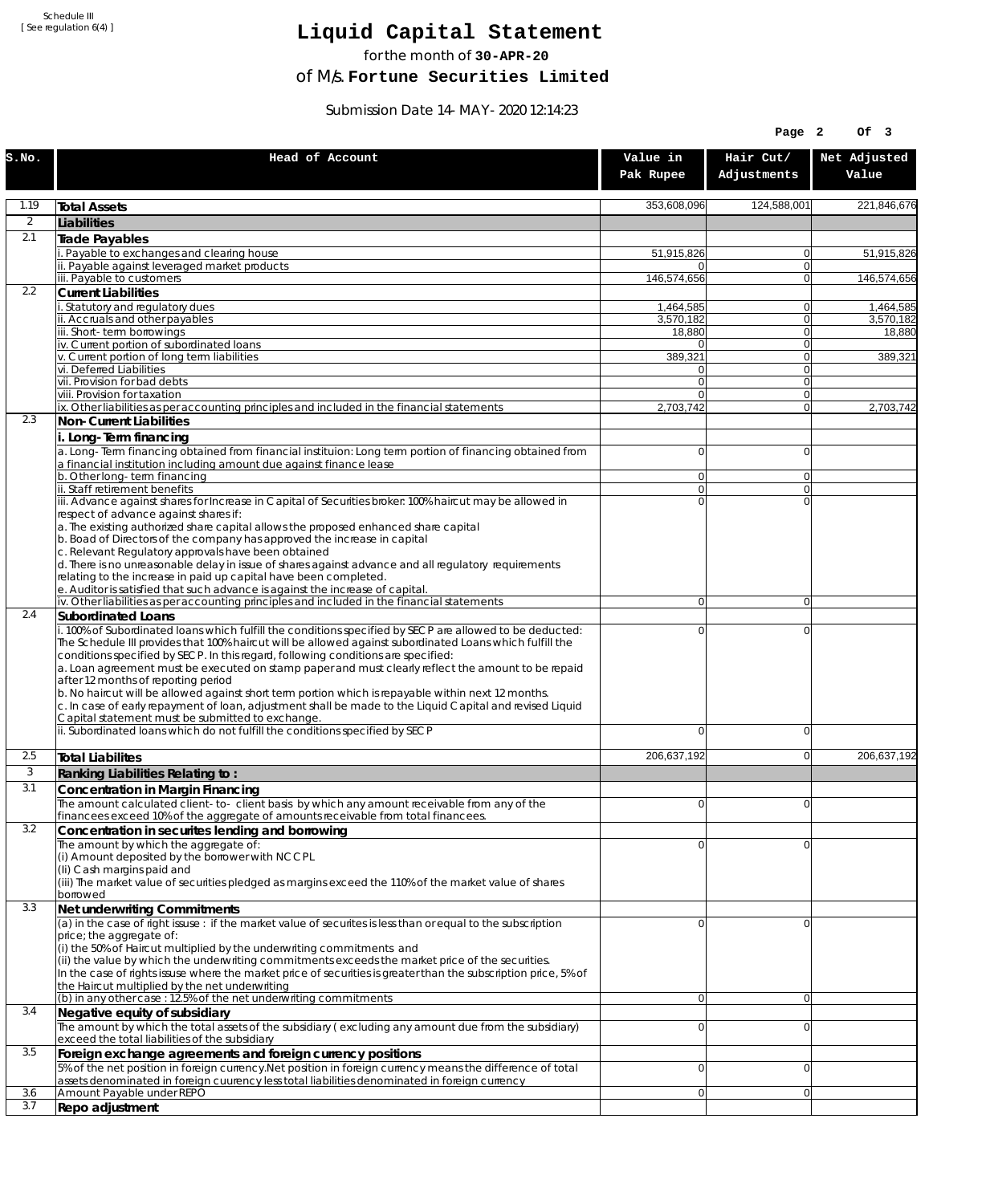Schedule III [ See regulation 6(4) ]

## **Liquid Capital Statement**

for the month of **30-APR-20**

of M/s. **Fortune Securities Limited**

Submission Date 14-MAY-2020 12:14:23

|                |                                                                                                                                                                                                                                                                                                                                                                                                                                                                                                                                                                                                                  |                                  | Page 2                   | OF <sub>3</sub>       |
|----------------|------------------------------------------------------------------------------------------------------------------------------------------------------------------------------------------------------------------------------------------------------------------------------------------------------------------------------------------------------------------------------------------------------------------------------------------------------------------------------------------------------------------------------------------------------------------------------------------------------------------|----------------------------------|--------------------------|-----------------------|
| S.NO.          | Head of Account                                                                                                                                                                                                                                                                                                                                                                                                                                                                                                                                                                                                  | Value in<br>Pak Rupee            | Hair Cut/<br>Adjustments | Net Adjusted<br>Value |
| 1.19           | <b>Total Assets</b>                                                                                                                                                                                                                                                                                                                                                                                                                                                                                                                                                                                              | 353,608,096                      | 124,588,001              | 221,846,676           |
| $\overline{2}$ | Liabilities                                                                                                                                                                                                                                                                                                                                                                                                                                                                                                                                                                                                      |                                  |                          |                       |
| 2.1            | Trade Payables                                                                                                                                                                                                                                                                                                                                                                                                                                                                                                                                                                                                   |                                  |                          |                       |
|                | Payable to exchanges and clearing house<br>ii. Payable against leveraged market products                                                                                                                                                                                                                                                                                                                                                                                                                                                                                                                         | 51,915,826                       | 0<br>$\mathbf{0}$        | 51,915,826            |
|                | iii. Payable to customers                                                                                                                                                                                                                                                                                                                                                                                                                                                                                                                                                                                        | 146,574,656                      | 0                        | 146,574,656           |
| 2.2            | <b>Current Liabilities</b>                                                                                                                                                                                                                                                                                                                                                                                                                                                                                                                                                                                       |                                  |                          |                       |
|                | . Statutory and regulatory dues<br>ii. Accruals and other payables                                                                                                                                                                                                                                                                                                                                                                                                                                                                                                                                               | 1,464,585                        | 0<br>$\mathbf{0}$        | 1,464,585             |
|                | iii. Short-term borrowings                                                                                                                                                                                                                                                                                                                                                                                                                                                                                                                                                                                       | 3,570,182<br>18,880              | 0                        | 3,570,182<br>18,880   |
|                | iv. Current portion of subordinated loans                                                                                                                                                                                                                                                                                                                                                                                                                                                                                                                                                                        | $\Omega$                         | 0                        |                       |
|                | v. Current portion of long term liabilities<br>vi. Deferred Liabilities                                                                                                                                                                                                                                                                                                                                                                                                                                                                                                                                          | 389,321<br>0                     | $\mathbf{0}$<br>0        | 389,321               |
|                | vii. Provision for bad debts                                                                                                                                                                                                                                                                                                                                                                                                                                                                                                                                                                                     | $\overline{0}$                   | $\mathbf{0}$             |                       |
|                | viii. Provision for taxation                                                                                                                                                                                                                                                                                                                                                                                                                                                                                                                                                                                     | $\Omega$                         | 0                        |                       |
| 2.3            | ix. Other liabilities as per accounting principles and included in the financial statements<br>Non-Current Liabilities                                                                                                                                                                                                                                                                                                                                                                                                                                                                                           | 2,703,742                        | $\overline{0}$           | 2,703,742             |
|                | i. Long-Term financing                                                                                                                                                                                                                                                                                                                                                                                                                                                                                                                                                                                           |                                  |                          |                       |
|                | a. Long-Term financing obtained from financial instituion: Long term portion of financing obtained from<br>a financial institution including amount due against finance lease                                                                                                                                                                                                                                                                                                                                                                                                                                    | $\overline{0}$                   | 0                        |                       |
|                | b. Other long-term financing<br>ii. Staff retirement benefits                                                                                                                                                                                                                                                                                                                                                                                                                                                                                                                                                    | $\overline{0}$<br>$\overline{0}$ | $\mathbf{0}$<br>0        |                       |
|                | iii. Advance against shares for Increase in Capital of Securities broker: 100% haircut may be allowed in                                                                                                                                                                                                                                                                                                                                                                                                                                                                                                         | $\Omega$                         | $\Omega$                 |                       |
|                | respect of advance against shares if:<br>a. The existing authorized share capital allows the proposed enhanced share capital<br>b. Boad of Directors of the company has approved the increase in capital<br>c. Relevant Regulatory approvals have been obtained<br>d. There is no unreasonable delay in issue of shares against advance and all regulatory requirements                                                                                                                                                                                                                                          |                                  |                          |                       |
|                | relating to the increase in paid up capital have been completed.<br>e. Auditor is satisfied that such advance is against the increase of capital.                                                                                                                                                                                                                                                                                                                                                                                                                                                                |                                  |                          |                       |
|                | iv. Other liabilities as per accounting principles and included in the financial statements                                                                                                                                                                                                                                                                                                                                                                                                                                                                                                                      | $\overline{0}$                   | $\overline{0}$           |                       |
| 2.4            | <b>Subordinated Loans</b><br>. 100% of Subordinated loans which fulfill the conditions specified by SECP are allowed to be deducted:                                                                                                                                                                                                                                                                                                                                                                                                                                                                             | 0                                | 0                        |                       |
|                | The Schedule III provides that 100% haircut will be allowed against subordinated Loans which fulfill the<br>conditions specified by SECP. In this regard, following conditions are specified:<br>a. Loan agreement must be executed on stamp paper and must clearly reflect the amount to be repaid<br>after 12 months of reporting period<br>b. No haircut will be allowed against short term portion which is repayable within next 12 months.<br>c. In case of early repayment of loan, adjustment shall be made to the Liquid Capital and revised Liquid<br>Capital statement must be submitted to exchange. |                                  |                          |                       |
|                | ii. Subordinated loans which do not fulfill the conditions specified by SECP                                                                                                                                                                                                                                                                                                                                                                                                                                                                                                                                     | 0                                | 0                        |                       |
| 2.5            | <b>Total Liabilites</b>                                                                                                                                                                                                                                                                                                                                                                                                                                                                                                                                                                                          | 206,637,192                      | 0                        | 206,637,192           |
| 3              | Ranking Liabilities Relating to:                                                                                                                                                                                                                                                                                                                                                                                                                                                                                                                                                                                 |                                  |                          |                       |
| 3.1            | Concentration in Margin Financing                                                                                                                                                                                                                                                                                                                                                                                                                                                                                                                                                                                |                                  |                          |                       |
|                | The amount calculated client-to-client basis by which any amount receivable from any of the                                                                                                                                                                                                                                                                                                                                                                                                                                                                                                                      | ΩI                               | $\Omega$                 |                       |
| 3.2            | financees exceed 10% of the aggregate of amounts receivable from total financees.<br>Concentration in securites lending and borrowing                                                                                                                                                                                                                                                                                                                                                                                                                                                                            |                                  |                          |                       |
|                | The amount by which the aggregate of:                                                                                                                                                                                                                                                                                                                                                                                                                                                                                                                                                                            | 0                                | 0                        |                       |
|                | (i) Amount deposited by the borrower with NCCPL<br>(Ii) Cash margins paid and<br>(iii) The market value of securities pledged as margins exceed the 110% of the market value of shares                                                                                                                                                                                                                                                                                                                                                                                                                           |                                  |                          |                       |
| 3.3            | borrowed<br>Net underwriting Commitments                                                                                                                                                                                                                                                                                                                                                                                                                                                                                                                                                                         |                                  |                          |                       |
|                | (a) in the case of right issuse : if the market value of securites is less than or equal to the subscription<br>price; the aggregate of:                                                                                                                                                                                                                                                                                                                                                                                                                                                                         | 0                                | 0                        |                       |
|                | (i) the 50% of Haircut multiplied by the underwriting commitments and<br>(ii) the value by which the underwriting commitments exceeds the market price of the securities.<br>In the case of rights issuse where the market price of securities is greater than the subscription price, 5% of<br>the Haircut multiplied by the net underwriting                                                                                                                                                                                                                                                                   |                                  |                          |                       |
| 3.4            | (b) in any other case: 12.5% of the net underwriting commitments<br>Negative equity of subsidiary                                                                                                                                                                                                                                                                                                                                                                                                                                                                                                                | 0                                | 0                        |                       |
|                | The amount by which the total assets of the subsidiary (excluding any amount due from the subsidiary)<br>exceed the total liabilities of the subsidiary                                                                                                                                                                                                                                                                                                                                                                                                                                                          | $\overline{0}$                   | 0                        |                       |
| 3.5            | Foreign exchange agreements and foreign currency positions                                                                                                                                                                                                                                                                                                                                                                                                                                                                                                                                                       |                                  |                          |                       |
|                | 5% of the net position in foreign currency. Net position in foreign currency means the difference of total<br>assets denominated in foreign cuurency less total liabilities denominated in foreign currency                                                                                                                                                                                                                                                                                                                                                                                                      | 0                                | 0                        |                       |
| 3.6<br>3.7     | Amount Payable under REPO<br>Repo adjustment                                                                                                                                                                                                                                                                                                                                                                                                                                                                                                                                                                     | 0                                | 0                        |                       |
|                |                                                                                                                                                                                                                                                                                                                                                                                                                                                                                                                                                                                                                  |                                  |                          |                       |